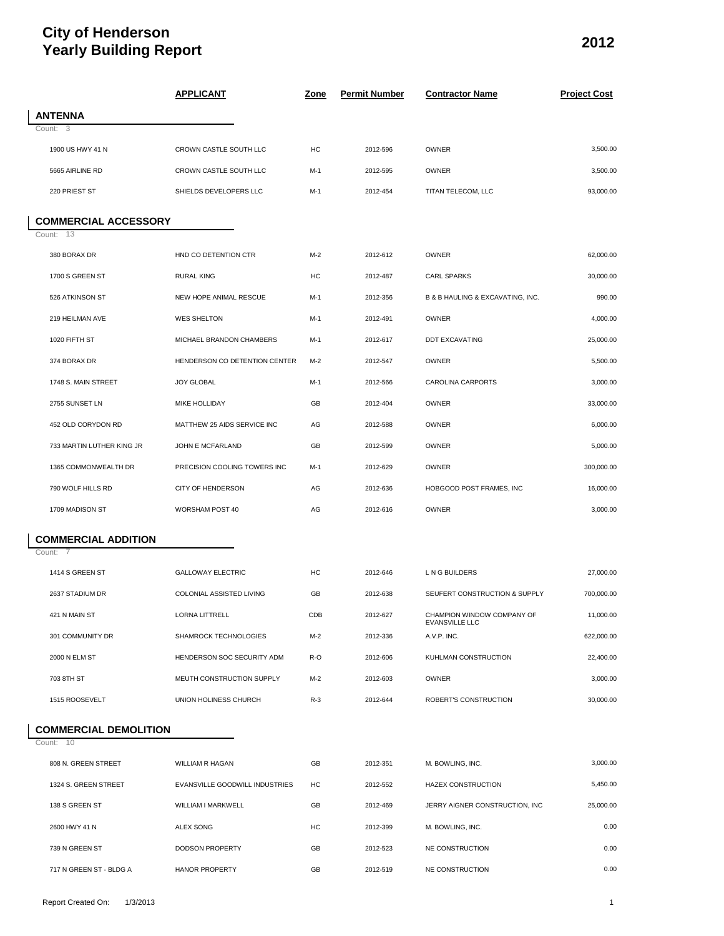# **City of Henderson Yearly Building Report <sup>2012</sup>**

|                                        | <b>APPLICANT</b>               | <u>Zone</u> | <b>Permit Number</b> | <b>Contractor Name</b>                       | <b>Project Cost</b> |
|----------------------------------------|--------------------------------|-------------|----------------------|----------------------------------------------|---------------------|
| <b>ANTENNA</b>                         |                                |             |                      |                                              |                     |
| Count: $\overline{3}$                  |                                |             |                      |                                              |                     |
| 1900 US HWY 41 N                       | CROWN CASTLE SOUTH LLC         | HC          | 2012-596             | <b>OWNER</b>                                 | 3,500.00            |
| 5665 AIRLINE RD                        | CROWN CASTLE SOUTH LLC         | M-1         | 2012-595             | <b>OWNER</b>                                 | 3,500.00            |
| 220 PRIEST ST                          | SHIELDS DEVELOPERS LLC         | M-1         | 2012-454             | TITAN TELECOM, LLC                           | 93,000.00           |
| <b>COMMERCIAL ACCESSORY</b>            |                                |             |                      |                                              |                     |
| Count: 13                              |                                |             |                      |                                              |                     |
| 380 BORAX DR                           | HND CO DETENTION CTR           | $M-2$       | 2012-612             | OWNER                                        | 62,000.00           |
| 1700 S GREEN ST                        | <b>RURAL KING</b>              | HC          | 2012-487             | <b>CARL SPARKS</b>                           | 30,000.00           |
| 526 ATKINSON ST                        | NEW HOPE ANIMAL RESCUE         | $M-1$       | 2012-356             | B & B HAULING & EXCAVATING, INC.             | 990.00              |
| 219 HEILMAN AVE                        | <b>WES SHELTON</b>             | $M-1$       | 2012-491             | OWNER                                        | 4,000.00            |
| 1020 FIFTH ST                          | MICHAEL BRANDON CHAMBERS       | M-1         | 2012-617             | <b>DDT EXCAVATING</b>                        | 25,000.00           |
| 374 BORAX DR                           | HENDERSON CO DETENTION CENTER  | M-2         | 2012-547             | <b>OWNER</b>                                 | 5,500.00            |
| 1748 S. MAIN STREET                    | <b>JOY GLOBAL</b>              | M-1         | 2012-566             | CAROLINA CARPORTS                            | 3,000.00            |
| 2755 SUNSET LN                         | MIKE HOLLIDAY                  | GB          | 2012-404             | <b>OWNER</b>                                 | 33,000.00           |
| 452 OLD CORYDON RD                     | MATTHEW 25 AIDS SERVICE INC    | AG          | 2012-588             | <b>OWNER</b>                                 | 6,000.00            |
| 733 MARTIN LUTHER KING JR              | JOHN E MCFARLAND               | GB          | 2012-599             | <b>OWNER</b>                                 | 5,000.00            |
| 1365 COMMONWEALTH DR                   | PRECISION COOLING TOWERS INC   | M-1         | 2012-629             | <b>OWNER</b>                                 | 300,000.00          |
| 790 WOLF HILLS RD                      | CITY OF HENDERSON              | AG          | 2012-636             | HOBGOOD POST FRAMES, INC                     | 16,000.00           |
| 1709 MADISON ST                        | WORSHAM POST 40                | AG          | 2012-616             | OWNER                                        | 3,000.00            |
|                                        |                                |             |                      |                                              |                     |
| <b>COMMERCIAL ADDITION</b><br>Count: 7 |                                |             |                      |                                              |                     |
|                                        |                                |             |                      |                                              | 27,000.00           |
| 1414 S GREEN ST                        | <b>GALLOWAY ELECTRIC</b>       | HC          | 2012-646             | L N G BUILDERS                               |                     |
| 2637 STADIUM DR                        | COLONIAL ASSISTED LIVING       | GB          | 2012-638             | SEUFERT CONSTRUCTION & SUPPLY                | 700,000.00          |
| 421 N MAIN ST                          | LORNA LITTRELL                 | CDB         | 2012-627             | CHAMPION WINDOW COMPANY OF<br>EVANSVILLE LLC | 11,000.00           |
| 301 COMMUNITY DR                       | SHAMROCK TECHNOLOGIES          | $M-2$       | 2012-336             | A.V.P. INC.                                  | 622,000.00          |
| 2000 N ELM ST                          | HENDERSON SOC SECURITY ADM     | R-O         | 2012-606             | KUHLMAN CONSTRUCTION                         | 22,400.00           |
| 703 8TH ST                             | MEUTH CONSTRUCTION SUPPLY      | M-2         | 2012-603             | <b>OWNER</b>                                 | 3,000.00            |
| 1515 ROOSEVELT                         | UNION HOLINESS CHURCH          | $R-3$       | 2012-644             | ROBERT'S CONSTRUCTION                        | 30,000.00           |
| <b>COMMERCIAL DEMOLITION</b>           |                                |             |                      |                                              |                     |
| Count: 10                              |                                |             |                      |                                              |                     |
| 808 N. GREEN STREET                    | WILLIAM R HAGAN                | GB          | 2012-351             | M. BOWLING, INC.                             | 3,000.00            |
| 1324 S. GREEN STREET                   | EVANSVILLE GOODWILL INDUSTRIES | HC          | 2012-552             | HAZEX CONSTRUCTION                           | 5,450.00            |
| 138 S GREEN ST                         | WILLIAM I MARKWELL             | GB          | 2012-469             | JERRY AIGNER CONSTRUCTION, INC               | 25,000.00           |
| 2600 HWY 41 N                          | ALEX SONG                      | HC          | 2012-399             | M. BOWLING, INC.                             | 0.00                |
| 739 N GREEN ST                         | <b>DODSON PROPERTY</b>         | GB          | 2012-523             | NE CONSTRUCTION                              | 0.00                |
| 717 N GREEN ST - BLDG A                | HANOR PROPERTY                 | GB          | 2012-519             | NE CONSTRUCTION                              | 0.00                |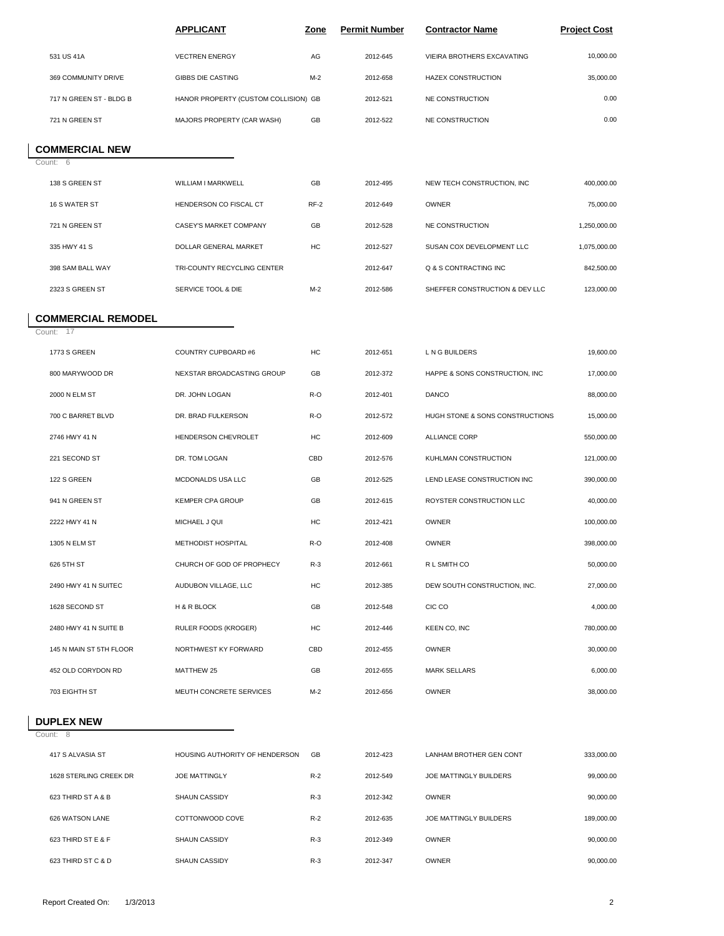|                                        | <b>APPLICANT</b>                     | <u>Zone</u> | <b>Permit Number</b> | <b>Contractor Name</b>          | <b>Project Cost</b> |
|----------------------------------------|--------------------------------------|-------------|----------------------|---------------------------------|---------------------|
| 531 US 41A                             | <b>VECTREN ENERGY</b>                | AG          | 2012-645             | VIEIRA BROTHERS EXCAVATING      | 10,000.00           |
| 369 COMMUNITY DRIVE                    | GIBBS DIE CASTING                    | $M-2$       | 2012-658             | HAZEX CONSTRUCTION              | 35,000.00           |
| 717 N GREEN ST - BLDG B                | HANOR PROPERTY (CUSTOM COLLISION) GB |             | 2012-521             | NE CONSTRUCTION                 | 0.00                |
| 721 N GREEN ST                         | MAJORS PROPERTY (CAR WASH)           | GB          | 2012-522             | NE CONSTRUCTION                 | 0.00                |
| <b>COMMERCIAL NEW</b>                  |                                      |             |                      |                                 |                     |
| Count: 6                               |                                      |             |                      |                                 |                     |
| 138 S GREEN ST                         | WILLIAM I MARKWELL                   | GB          | 2012-495             | NEW TECH CONSTRUCTION, INC      | 400,000.00          |
| 16 S WATER ST                          | HENDERSON CO FISCAL CT               | RF-2        | 2012-649             | <b>OWNER</b>                    | 75,000.00           |
| 721 N GREEN ST                         | CASEY'S MARKET COMPANY               | GB          | 2012-528             | NE CONSTRUCTION                 | 1,250,000.00        |
| 335 HWY 41 S                           | DOLLAR GENERAL MARKET                | HC          | 2012-527             | SUSAN COX DEVELOPMENT LLC       | 1,075,000.00        |
| 398 SAM BALL WAY                       | TRI-COUNTY RECYCLING CENTER          |             | 2012-647             | Q & S CONTRACTING INC           | 842,500.00          |
| 2323 S GREEN ST                        | SERVICE TOOL & DIE                   | $M-2$       | 2012-586             | SHEFFER CONSTRUCTION & DEV LLC  | 123,000.00          |
| <b>COMMERCIAL REMODEL</b><br>Count: 17 |                                      |             |                      |                                 |                     |
| 1773 S GREEN                           | COUNTRY CUPBOARD #6                  | HC          | 2012-651             | L N G BUILDERS                  | 19,600.00           |
| 800 MARYWOOD DR                        | NEXSTAR BROADCASTING GROUP           | GB          | 2012-372             | HAPPE & SONS CONSTRUCTION, INC  | 17,000.00           |
| 2000 N ELM ST                          | DR. JOHN LOGAN                       | R-O         | 2012-401             | DANCO                           | 88,000.00           |
| 700 C BARRET BLVD                      | DR. BRAD FULKERSON                   | R-O         | 2012-572             | HUGH STONE & SONS CONSTRUCTIONS | 15,000.00           |
| 2746 HWY 41 N                          | HENDERSON CHEVROLET                  | HC          | 2012-609             | <b>ALLIANCE CORP</b>            | 550,000.00          |
| 221 SECOND ST                          | DR. TOM LOGAN                        | CBD         | 2012-576             | KUHLMAN CONSTRUCTION            | 121,000.00          |
| 122 S GREEN                            | MCDONALDS USA LLC                    | GB          | 2012-525             | LEND LEASE CONSTRUCTION INC     | 390,000.00          |
| 941 N GREEN ST                         | KEMPER CPA GROUP                     | GB          | 2012-615             | ROYSTER CONSTRUCTION LLC        | 40,000.00           |
| 2222 HWY 41 N                          | MICHAEL J QUI                        | HC          | 2012-421             | <b>OWNER</b>                    | 100,000.00          |
| 1305 N ELM ST                          | METHODIST HOSPITAL                   | R-O         | 2012-408             | <b>OWNER</b>                    | 398,000.00          |
| 626 5TH ST                             | CHURCH OF GOD OF PROPHECY            | $R-3$       | 2012-661             | R L SMITH CO                    | 50,000.00           |
| 2490 HWY 41 N SUITEC                   | AUDUBON VILLAGE, LLC                 | HC          | 2012-385             | DEW SOUTH CONSTRUCTION, INC.    | 27,000.00           |
| 1628 SECOND ST                         | H & R BLOCK                          | GB          | 2012-548             | CIC CO                          | 4,000.00            |
| 2480 HWY 41 N SUITE B                  | RULER FOODS (KROGER)                 | HC          | 2012-446             | KEEN CO, INC                    | 780,000.00          |
| 145 N MAIN ST 5TH FLOOR                | NORTHWEST KY FORWARD                 | CBD         | 2012-455             | <b>OWNER</b>                    | 30,000.00           |
| 452 OLD CORYDON RD                     | MATTHEW 25                           | GB          | 2012-655             | <b>MARK SELLARS</b>             | 6,000.00            |
| 703 EIGHTH ST                          | MEUTH CONCRETE SERVICES              | $M-2$       | 2012-656             | OWNER                           | 38,000.00           |
| <b>DUPLEX NEW</b><br>Count: 8          |                                      |             |                      |                                 |                     |
| 417 S ALVASIA ST                       | HOUSING AUTHORITY OF HENDERSON       | GB          | 2012-423             | LANHAM BROTHER GEN CONT         | 333,000.00          |
| 1628 STERLING CREEK DR                 | <b>JOE MATTINGLY</b>                 | $R-2$       | 2012-549             | JOE MATTINGLY BUILDERS          | 99,000.00           |
| 623 THIRD ST A & B                     | SHAUN CASSIDY                        | $R-3$       | 2012-342             | <b>OWNER</b>                    | 90,000.00           |
| 626 WATSON LANE                        | COTTONWOOD COVE                      | $R-2$       | 2012-635             | JOE MATTINGLY BUILDERS          | 189,000.00          |
|                                        |                                      |             |                      |                                 |                     |
| 623 THIRD ST E & F                     | <b>SHAUN CASSIDY</b>                 | $R-3$       | 2012-349             | OWNER                           | 90,000.00           |
| 623 THIRD ST C & D                     | SHAUN CASSIDY                        | $R-3$       | 2012-347             | <b>OWNER</b>                    | 90,000.00           |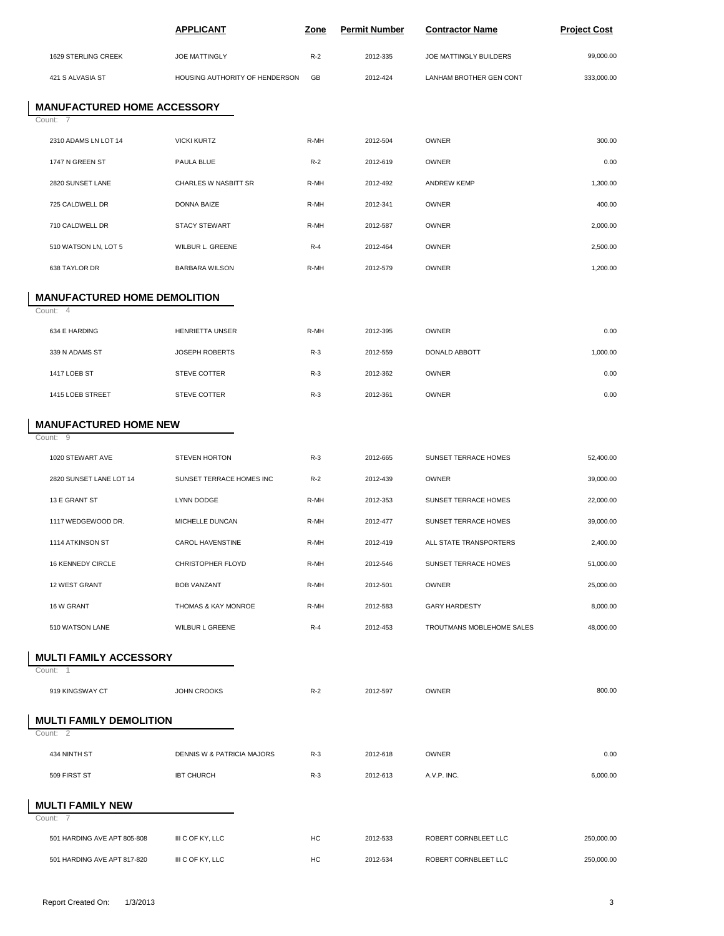|                                          | <b>APPLICANT</b>               | <u>Zone</u> | <b>Permit Number</b> | <b>Contractor Name</b>    | <b>Project Cost</b> |
|------------------------------------------|--------------------------------|-------------|----------------------|---------------------------|---------------------|
| 1629 STERLING CREEK                      | <b>JOE MATTINGLY</b>           | $R-2$       | 2012-335             | JOE MATTINGLY BUILDERS    | 99,000.00           |
| 421 S ALVASIA ST                         | HOUSING AUTHORITY OF HENDERSON | GB          | 2012-424             | LANHAM BROTHER GEN CONT   | 333,000.00          |
| <b>MANUFACTURED HOME ACCESSORY</b>       |                                |             |                      |                           |                     |
| Count: 7<br>2310 ADAMS LN LOT 14         | <b>VICKI KURTZ</b>             | R-MH        | 2012-504             | <b>OWNER</b>              | 300.00              |
| 1747 N GREEN ST                          | PAULA BLUE                     | $R-2$       | 2012-619             | <b>OWNER</b>              | 0.00                |
| 2820 SUNSET LANE                         | CHARLES W NASBITT SR           | R-MH        | 2012-492             | <b>ANDREW KEMP</b>        | 1,300.00            |
| 725 CALDWELL DR                          | DONNA BAIZE                    | R-MH        | 2012-341             | <b>OWNER</b>              | 400.00              |
| 710 CALDWELL DR                          | <b>STACY STEWART</b>           | R-MH        | 2012-587             | OWNER                     | 2,000.00            |
| 510 WATSON LN, LOT 5                     | WILBUR L. GREENE               | $R-4$       | 2012-464             | OWNER                     | 2,500.00            |
| 638 TAYLOR DR                            | <b>BARBARA WILSON</b>          | R-MH        | 2012-579             | OWNER                     | 1,200.00            |
| <b>MANUFACTURED HOME DEMOLITION</b>      |                                |             |                      |                           |                     |
| Count: 4                                 |                                |             |                      |                           |                     |
| 634 E HARDING                            | <b>HENRIETTA UNSER</b>         | R-MH        | 2012-395             | OWNER                     | 0.00                |
| 339 N ADAMS ST                           | JOSEPH ROBERTS                 | $R-3$       | 2012-559             | DONALD ABBOTT             | 1,000.00            |
| 1417 LOEB ST                             | STEVE COTTER                   | $R-3$       | 2012-362             | OWNER                     | 0.00                |
| 1415 LOEB STREET                         | STEVE COTTER                   | $R-3$       | 2012-361             | OWNER                     | 0.00                |
| <b>MANUFACTURED HOME NEW</b><br>Count: 9 |                                |             |                      |                           |                     |
| 1020 STEWART AVE                         | <b>STEVEN HORTON</b>           | $R-3$       | 2012-665             | SUNSET TERRACE HOMES      | 52,400.00           |
| 2820 SUNSET LANE LOT 14                  | SUNSET TERRACE HOMES INC       | $R-2$       | 2012-439             | <b>OWNER</b>              | 39,000.00           |
| 13 E GRANT ST                            | <b>LYNN DODGE</b>              | R-MH        | 2012-353             | SUNSET TERRACE HOMES      | 22,000.00           |
| 1117 WEDGEWOOD DR.                       | MICHELLE DUNCAN                | R-MH        | 2012-477             | SUNSET TERRACE HOMES      | 39,000.00           |
| 1114 ATKINSON ST                         | CAROL HAVENSTINE               | R-MH        | 2012-419             | ALL STATE TRANSPORTERS    | 2,400.00            |
| 16 KENNEDY CIRCLE                        | <b>CHRISTOPHER FLOYD</b>       | R-MH        | 2012-546             | SUNSET TERRACE HOMES      | 51,000.00           |
| 12 WEST GRANT                            | <b>BOB VANZANT</b>             | R-MH        | 2012-501             | OWNER                     | 25,000.00           |
| 16 W GRANT                               | THOMAS & KAY MONROE            | R-MH        | 2012-583             | <b>GARY HARDESTY</b>      | 8,000.00            |
| 510 WATSON LANE                          | WILBUR L GREENE                | $R-4$       | 2012-453             | TROUTMANS MOBLEHOME SALES | 48,000.00           |
| <b>MULTI FAMILY ACCESSORY</b>            |                                |             |                      |                           |                     |
| Count: 1<br>919 KINGSWAY CT              | <b>JOHN CROOKS</b>             | $R-2$       | 2012-597             | OWNER                     | 800.00              |
| <b>MULTI FAMILY DEMOLITION</b>           |                                |             |                      |                           |                     |
| Count: 2                                 |                                |             |                      |                           |                     |
| 434 NINTH ST                             | DENNIS W & PATRICIA MAJORS     | $R-3$       | 2012-618             | <b>OWNER</b>              | 0.00                |
| 509 FIRST ST                             | <b>IBT CHURCH</b>              | $R-3$       | 2012-613             | A.V.P. INC.               | 6,000.00            |
| <b>MULTI FAMILY NEW</b><br>Count: 7      |                                |             |                      |                           |                     |
| 501 HARDING AVE APT 805-808              | III C OF KY, LLC               | HC          | 2012-533             | ROBERT CORNBLEET LLC      | 250,000.00          |
| 501 HARDING AVE APT 817-820              | III C OF KY, LLC               | HC          | 2012-534             | ROBERT CORNBLEET LLC      | 250,000.00          |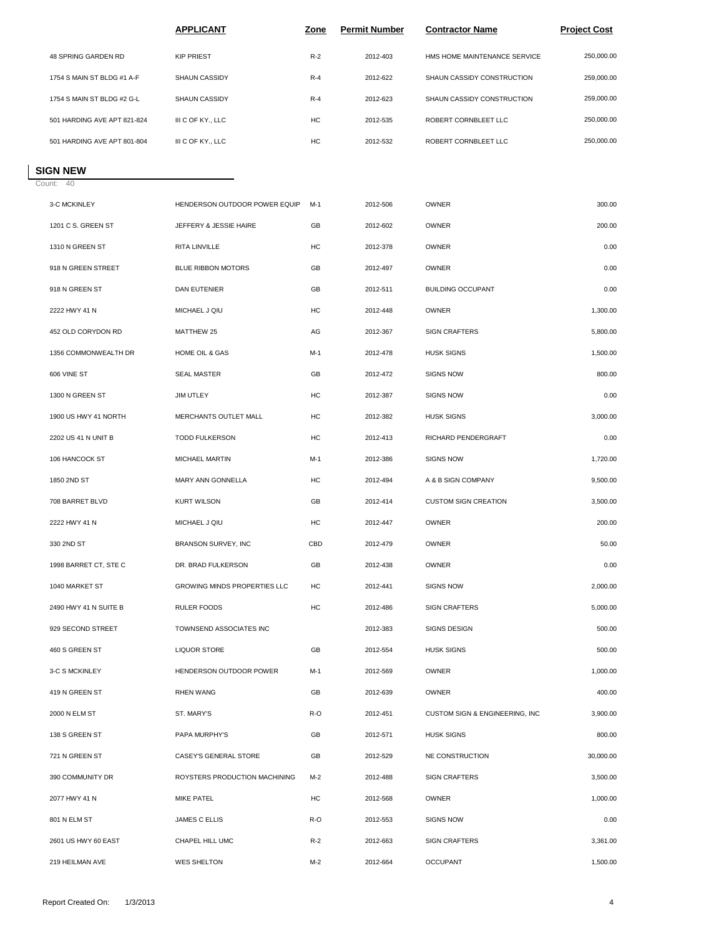|                             | <b>APPLICANT</b>  | <b>Zone</b> | <b>Permit Number</b> | <b>Contractor Name</b>       | <b>Project Cost</b> |  |
|-----------------------------|-------------------|-------------|----------------------|------------------------------|---------------------|--|
| 48 SPRING GARDEN RD         | <b>KIP PRIEST</b> | $R-2$       | 2012-403             | HMS HOME MAINTENANCE SERVICE | 250,000,00          |  |
| 1754 S MAIN ST BLDG #1 A-F  | SHAUN CASSIDY     | $R-4$       | 2012-622             | SHAUN CASSIDY CONSTRUCTION   | 259.000.00          |  |
| 1754 S MAIN ST BLDG #2 G-L  | SHAUN CASSIDY     | $R-4$       | 2012-623             | SHAUN CASSIDY CONSTRUCTION   | 259,000.00          |  |
| 501 HARDING AVE APT 821-824 | III C OF KY., LLC | HC          | 2012-535             | ROBERT CORNBLEET LLC         | 250,000.00          |  |
| 501 HARDING AVE APT 801-804 | III C OF KY., LLC | HC          | 2012-532             | ROBERT CORNBLEET LLC         | 250,000,00          |  |
|                             |                   |             |                      |                              |                     |  |

## Count: 40 **SIGN NEW**

| 3-C MCKINLEY          | HENDERSON OUTDOOR POWER EQUIP | $M-1$ | 2012-506 | OWNER                          | 300.00    |
|-----------------------|-------------------------------|-------|----------|--------------------------------|-----------|
| 1201 C S. GREEN ST    | JEFFERY & JESSIE HAIRE        | GB    | 2012-602 | OWNER                          | 200.00    |
| 1310 N GREEN ST       | RITA LINVILLE                 | HC    | 2012-378 | OWNER                          | 0.00      |
| 918 N GREEN STREET    | BLUE RIBBON MOTORS            | GB    | 2012-497 | OWNER                          | 0.00      |
| 918 N GREEN ST        | DAN EUTENIER                  | GB    | 2012-511 | <b>BUILDING OCCUPANT</b>       | 0.00      |
| 2222 HWY 41 N         | MICHAEL J QIU                 | HC    | 2012-448 | OWNER                          | 1,300.00  |
| 452 OLD CORYDON RD    | MATTHEW 25                    | AG    | 2012-367 | <b>SIGN CRAFTERS</b>           | 5,800.00  |
| 1356 COMMONWEALTH DR  | HOME OIL & GAS                | $M-1$ | 2012-478 | <b>HUSK SIGNS</b>              | 1,500.00  |
| 606 VINE ST           | <b>SEAL MASTER</b>            | GB    | 2012-472 | <b>SIGNS NOW</b>               | 800.00    |
| 1300 N GREEN ST       | JIM UTLEY                     | HC    | 2012-387 | <b>SIGNS NOW</b>               | 0.00      |
| 1900 US HWY 41 NORTH  | MERCHANTS OUTLET MALL         | HC    | 2012-382 | <b>HUSK SIGNS</b>              | 3,000.00  |
| 2202 US 41 N UNIT B   | <b>TODD FULKERSON</b>         | HC    | 2012-413 | RICHARD PENDERGRAFT            | 0.00      |
| 106 HANCOCK ST        | MICHAEL MARTIN                | $M-1$ | 2012-386 | <b>SIGNS NOW</b>               | 1,720.00  |
| 1850 2ND ST           | MARY ANN GONNELLA             | HC    | 2012-494 | A & B SIGN COMPANY             | 9,500.00  |
| 708 BARRET BLVD       | <b>KURT WILSON</b>            | GB    | 2012-414 | <b>CUSTOM SIGN CREATION</b>    | 3,500.00  |
| 2222 HWY 41 N         | MICHAEL J QIU                 | HC    | 2012-447 | <b>OWNER</b>                   | 200.00    |
| 330 2ND ST            | BRANSON SURVEY, INC           | CBD   | 2012-479 | <b>OWNER</b>                   | 50.00     |
| 1998 BARRET CT, STE C | DR. BRAD FULKERSON            | GB    | 2012-438 | <b>OWNER</b>                   | 0.00      |
| 1040 MARKET ST        | GROWING MINDS PROPERTIES LLC  | HC    | 2012-441 | <b>SIGNS NOW</b>               | 2,000.00  |
| 2490 HWY 41 N SUITE B | <b>RULER FOODS</b>            | HC    | 2012-486 | <b>SIGN CRAFTERS</b>           | 5,000.00  |
| 929 SECOND STREET     | TOWNSEND ASSOCIATES INC       |       | 2012-383 | SIGNS DESIGN                   | 500.00    |
| 460 S GREEN ST        | <b>LIQUOR STORE</b>           | GB    | 2012-554 | <b>HUSK SIGNS</b>              | 500.00    |
| 3-C S MCKINLEY        | HENDERSON OUTDOOR POWER       | M-1   | 2012-569 | <b>OWNER</b>                   | 1,000.00  |
| 419 N GREEN ST        | <b>RHEN WANG</b>              | GB    | 2012-639 | OWNER                          | 400.00    |
| 2000 N ELM ST         | ST. MARY'S                    | R-O   | 2012-451 | CUSTOM SIGN & ENGINEERING, INC | 3,900.00  |
| 138 S GREEN ST        | PAPA MURPHY'S                 | GB    | 2012-571 | <b>HUSK SIGNS</b>              | 800.00    |
| 721 N GREEN ST        | CASEY'S GENERAL STORE         | GB    | 2012-529 | NE CONSTRUCTION                | 30,000.00 |
| 390 COMMUNITY DR      | ROYSTERS PRODUCTION MACHINING | $M-2$ | 2012-488 | <b>SIGN CRAFTERS</b>           | 3,500.00  |
| 2077 HWY 41 N         | MIKE PATEL                    | HC    | 2012-568 | OWNER                          | 1,000.00  |
| 801 N ELM ST          | <b>JAMES C ELLIS</b>          | R-O   | 2012-553 | <b>SIGNS NOW</b>               | 0.00      |
| 2601 US HWY 60 EAST   | CHAPEL HILL UMC               | $R-2$ | 2012-663 | <b>SIGN CRAFTERS</b>           | 3,361.00  |
| 219 HEILMAN AVE       | <b>WES SHELTON</b>            | $M-2$ | 2012-664 | <b>OCCUPANT</b>                | 1,500.00  |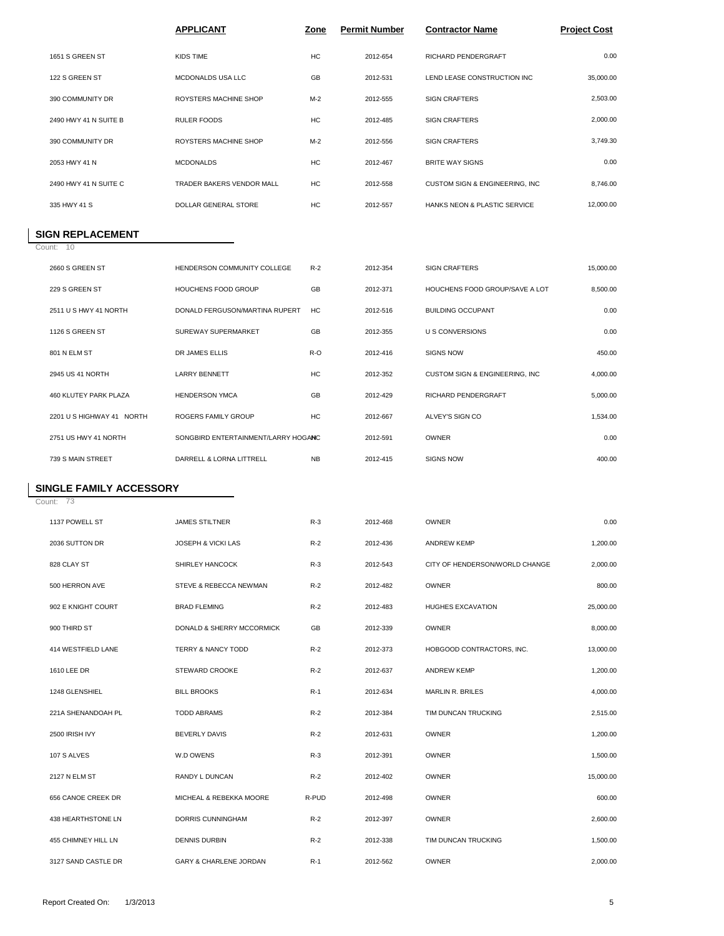|                       | <b>APPLICANT</b>            | <b>Zone</b> | <b>Permit Number</b> | <b>Contractor Name</b>                  | <b>Project Cost</b> |
|-----------------------|-----------------------------|-------------|----------------------|-----------------------------------------|---------------------|
| 1651 S GREEN ST       | KIDS TIME                   | HC          | 2012-654             | <b>RICHARD PENDERGRAFT</b>              | 0.00                |
| 122 S GREEN ST        | MCDONALDS USA LLC           | GB          | 2012-531             | LEND LEASE CONSTRUCTION INC             | 35,000.00           |
| 390 COMMUNITY DR      | ROYSTERS MACHINE SHOP       | $M-2$       | 2012-555             | <b>SIGN CRAFTERS</b>                    | 2,503.00            |
| 2490 HWY 41 N SUITE B | <b>RULER FOODS</b>          | <b>HC</b>   | 2012-485             | <b>SIGN CRAFTERS</b>                    | 2,000.00            |
| 390 COMMUNITY DR      | ROYSTERS MACHINE SHOP       | $M-2$       | 2012-556             | <b>SIGN CRAFTERS</b>                    | 3,749.30            |
| 2053 HWY 41 N         | <b>MCDONALDS</b>            | HC          | 2012-467             | <b>BRITE WAY SIGNS</b>                  | 0.00                |
| 2490 HWY 41 N SUITE C | TRADER BAKERS VENDOR MALL   | HC          | 2012-558             | CUSTOM SIGN & ENGINEERING, INC          | 8,746.00            |
| 335 HWY 41 S          | <b>DOLLAR GENERAL STORE</b> | HC          | 2012-557             | <b>HANKS NEON &amp; PLASTIC SERVICE</b> | 12,000.00           |

### **SIGN REPLACEMENT**

Count: 10

Count: 73

| 2660 S GREEN ST            | HENDERSON COMMUNITY COLLEGE         | $R-2$     | 2012-354 | <b>SIGN CRAFTERS</b>           | 15,000.00 |
|----------------------------|-------------------------------------|-----------|----------|--------------------------------|-----------|
| 229 S GREEN ST             | HOUCHENS FOOD GROUP                 | GB        | 2012-371 | HOUCHENS FOOD GROUP/SAVE A LOT | 8,500.00  |
| 2511 U S HWY 41 NORTH      | DONALD FERGUSON/MARTINA RUPERT      | HC.       | 2012-516 | <b>BUILDING OCCUPANT</b>       | 0.00      |
| 1126 S GREEN ST            | <b>SUREWAY SUPERMARKET</b>          | <b>GB</b> | 2012-355 | <b>U S CONVERSIONS</b>         | 0.00      |
| 801 N ELM ST               | DR JAMES ELLIS                      | $R-O$     | 2012-416 | <b>SIGNS NOW</b>               | 450.00    |
| 2945 US 41 NORTH           | <b>LARRY BENNETT</b>                | HC        | 2012-352 | CUSTOM SIGN & ENGINEERING, INC | 4,000.00  |
| 460 KLUTEY PARK PLAZA      | <b>HENDERSON YMCA</b>               | GB        | 2012-429 | <b>RICHARD PENDERGRAFT</b>     | 5,000.00  |
| 2201 U.S. HIGHWAY 41 NORTH | ROGERS FAMILY GROUP                 | HC        | 2012-667 | ALVEY'S SIGN CO                | 1,534.00  |
| 2751 US HWY 41 NORTH       | SONGBIRD ENTERTAINMENT/LARRY HOGANC |           | 2012-591 | <b>OWNER</b>                   | 0.00      |
| 739 S MAIN STREET          | DARRELL & LORNA LITTRELL            | <b>NB</b> | 2012-415 | <b>SIGNS NOW</b>               | 400.00    |
|                            |                                     |           |          |                                |           |

## **SINGLE FAMILY ACCESSORY**

| 1137 POWELL ST      | <b>JAMES STILTNER</b>             | $R-3$ | 2012-468 | <b>OWNER</b>                   | 0.00      |
|---------------------|-----------------------------------|-------|----------|--------------------------------|-----------|
| 2036 SUTTON DR      | JOSEPH & VICKI LAS                | $R-2$ | 2012-436 | <b>ANDREW KEMP</b>             | 1,200.00  |
| 828 CLAY ST         | SHIRLEY HANCOCK                   | $R-3$ | 2012-543 | CITY OF HENDERSON/WORLD CHANGE | 2,000.00  |
| 500 HERRON AVE      | STEVE & REBECCA NEWMAN            | $R-2$ | 2012-482 | <b>OWNER</b>                   | 800.00    |
| 902 E KNIGHT COURT  | <b>BRAD FLEMING</b>               | $R-2$ | 2012-483 | HUGHES EXCAVATION              | 25,000.00 |
| 900 THIRD ST        | DONALD & SHERRY MCCORMICK         | GB    | 2012-339 | OWNER                          | 8,000.00  |
| 414 WESTFIELD LANE  | <b>TERRY &amp; NANCY TODD</b>     | $R-2$ | 2012-373 | HOBGOOD CONTRACTORS, INC.      | 13,000.00 |
| 1610 LEE DR         | STEWARD CROOKE                    | $R-2$ | 2012-637 | <b>ANDREW KEMP</b>             | 1,200.00  |
| 1248 GLENSHIEL      | <b>BILL BROOKS</b>                | $R-1$ | 2012-634 | MARLIN R. BRILES               | 4,000.00  |
| 221A SHENANDOAH PL  | <b>TODD ABRAMS</b>                | $R-2$ | 2012-384 | TIM DUNCAN TRUCKING            | 2,515.00  |
| 2500 IRISH IVY      | <b>BEVERLY DAVIS</b>              | $R-2$ | 2012-631 | <b>OWNER</b>                   | 1,200.00  |
| 107 S ALVES         | W.D OWENS                         | $R-3$ | 2012-391 | OWNER                          | 1,500.00  |
| 2127 N ELM ST       | RANDY L DUNCAN                    | $R-2$ | 2012-402 | OWNER                          | 15,000.00 |
| 656 CANOE CREEK DR  | MICHEAL & REBEKKA MOORE           | R-PUD | 2012-498 | <b>OWNER</b>                   | 600.00    |
| 438 HEARTHSTONE LN  | DORRIS CUNNINGHAM                 | $R-2$ | 2012-397 | OWNER                          | 2,600.00  |
| 455 CHIMNEY HILL LN | <b>DENNIS DURBIN</b>              | $R-2$ | 2012-338 | TIM DUNCAN TRUCKING            | 1,500.00  |
| 3127 SAND CASTLE DR | <b>GARY &amp; CHARLENE JORDAN</b> | $R-1$ | 2012-562 | OWNER                          | 2,000.00  |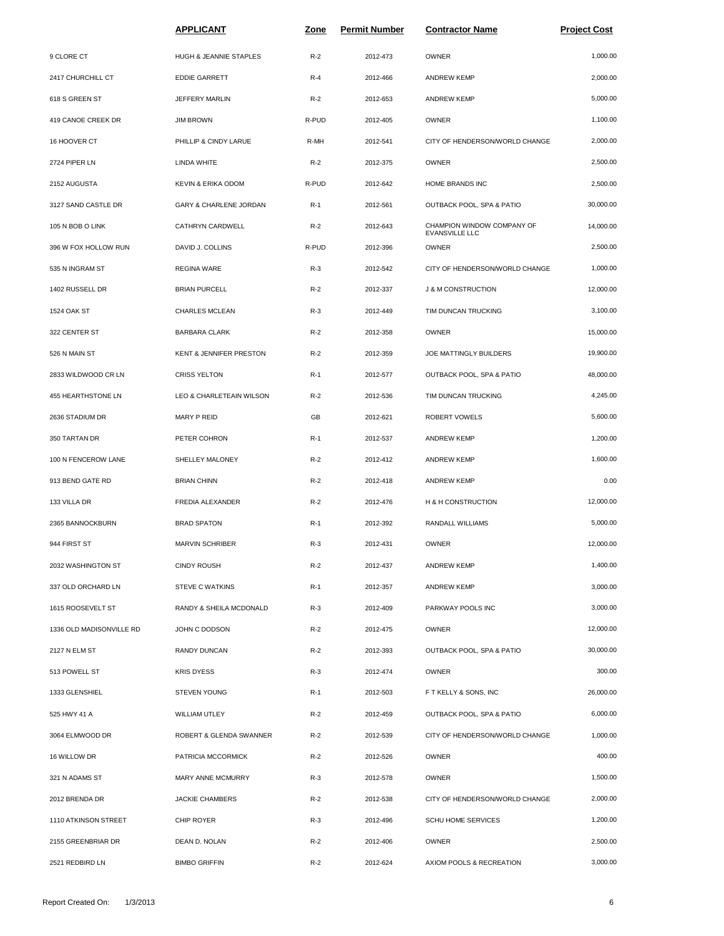|                          | <b>APPLICANT</b>                   | <u>Zone</u> | <b>Permit Number</b> | <b>Contractor Name</b>                       | <b>Project Cost</b> |
|--------------------------|------------------------------------|-------------|----------------------|----------------------------------------------|---------------------|
| 9 CLORE CT               | HUGH & JEANNIE STAPLES             | $R-2$       | 2012-473             | OWNER                                        | 1,000.00            |
| 2417 CHURCHILL CT        | <b>EDDIE GARRETT</b>               | $R-4$       | 2012-466             | <b>ANDREW KEMP</b>                           | 2,000.00            |
| 618 S GREEN ST           | JEFFERY MARLIN                     | $R-2$       | 2012-653             | <b>ANDREW KEMP</b>                           | 5,000.00            |
| 419 CANOE CREEK DR       | <b>JIM BROWN</b>                   | R-PUD       | 2012-405             | OWNER                                        | 1,100.00            |
| 16 HOOVER CT             | PHILLIP & CINDY LARUE              | R-MH        | 2012-541             | CITY OF HENDERSON/WORLD CHANGE               | 2,000.00            |
| 2724 PIPER LN            | LINDA WHITE                        | $R-2$       | 2012-375             | OWNER                                        | 2,500.00            |
| 2152 AUGUSTA             | KEVIN & ERIKA ODOM                 | R-PUD       | 2012-642             | HOME BRANDS INC                              | 2,500.00            |
| 3127 SAND CASTLE DR      | GARY & CHARLENE JORDAN             | $R-1$       | 2012-561             | OUTBACK POOL, SPA & PATIO                    | 30,000.00           |
| 105 N BOB O LINK         | CATHRYN CARDWELL                   | $R-2$       | 2012-643             | CHAMPION WINDOW COMPANY OF<br>EVANSVILLE LLC | 14,000.00           |
| 396 W FOX HOLLOW RUN     | DAVID J. COLLINS                   | R-PUD       | 2012-396             | <b>OWNER</b>                                 | 2,500.00            |
| 535 N INGRAM ST          | <b>REGINA WARE</b>                 | $R-3$       | 2012-542             | CITY OF HENDERSON/WORLD CHANGE               | 1,000.00            |
| 1402 RUSSELL DR          | <b>BRIAN PURCELL</b>               | $R-2$       | 2012-337             | <b>J &amp; M CONSTRUCTION</b>                | 12,000.00           |
| 1524 OAK ST              | CHARLES MCLEAN                     | $R-3$       | 2012-449             | TIM DUNCAN TRUCKING                          | 3,100.00            |
| 322 CENTER ST            | <b>BARBARA CLARK</b>               | $R-2$       | 2012-358             | OWNER                                        | 15,000.00           |
| 526 N MAIN ST            | <b>KENT &amp; JENNIFER PRESTON</b> | $R-2$       | 2012-359             | JOE MATTINGLY BUILDERS                       | 19,900.00           |
| 2833 WILDWOOD CR LN      | <b>CRISS YELTON</b>                | $R-1$       | 2012-577             | OUTBACK POOL, SPA & PATIO                    | 48,000.00           |
| 455 HEARTHSTONE LN       | LEO & CHARLETEAIN WILSON           | $R-2$       | 2012-536             | TIM DUNCAN TRUCKING                          | 4,245.00            |
| 2636 STADIUM DR          | MARY P REID                        | GB          | 2012-621             | ROBERT VOWELS                                | 5,600.00            |
| 350 TARTAN DR            | PETER COHRON                       | $R-1$       | 2012-537             | <b>ANDREW KEMP</b>                           | 1,200.00            |
| 100 N FENCEROW LANE      | SHELLEY MALONEY                    | $R-2$       | 2012-412             | <b>ANDREW KEMP</b>                           | 1,600.00            |
| 913 BEND GATE RD         | <b>BRIAN CHINN</b>                 | $R-2$       | 2012-418             | <b>ANDREW KEMP</b>                           | 0.00                |
| 133 VILLA DR             | FREDIA ALEXANDER                   | $R-2$       | 2012-476             | H & H CONSTRUCTION                           | 12,000.00           |
| 2365 BANNOCKBURN         | <b>BRAD SPATON</b>                 | $R-1$       | 2012-392             | RANDALL WILLIAMS                             | 5,000.00            |
| 944 FIRST ST             | <b>MARVIN SCHRIBER</b>             | $R-3$       | 2012-431             | OWNER                                        | 12,000.00           |
| 2032 WASHINGTON ST       | <b>CINDY ROUSH</b>                 | $R-2$       | 2012-437             | ANDREW KEMP                                  | 1,400.00            |
| 337 OLD ORCHARD LN       | <b>STEVE C WATKINS</b>             | $R-1$       | 2012-357             | ANDREW KEMP                                  | 3,000.00            |
| 1615 ROOSEVELT ST        | RANDY & SHEILA MCDONALD            | $R-3$       | 2012-409             | PARKWAY POOLS INC                            | 3,000.00            |
| 1336 OLD MADISONVILLE RD | JOHN C DODSON                      | $R-2$       | 2012-475             | OWNER                                        | 12,000.00           |
| 2127 N ELM ST            | RANDY DUNCAN                       | $R-2$       | 2012-393             | OUTBACK POOL, SPA & PATIO                    | 30,000.00           |
| 513 POWELL ST            | <b>KRIS DYESS</b>                  | $R-3$       | 2012-474             | OWNER                                        | 300.00              |
| 1333 GLENSHIEL           | STEVEN YOUNG                       | $R-1$       | 2012-503             | F T KELLY & SONS, INC                        | 26,000.00           |
| 525 HWY 41 A             | WILLIAM UTLEY                      | $R-2$       | 2012-459             | OUTBACK POOL, SPA & PATIO                    | 6,000.00            |
| 3064 ELMWOOD DR          | ROBERT & GLENDA SWANNER            | $R-2$       | 2012-539             | CITY OF HENDERSON/WORLD CHANGE               | 1,000.00            |
| 16 WILLOW DR             | PATRICIA MCCORMICK                 | $R-2$       | 2012-526             | OWNER                                        | 400.00              |
| 321 N ADAMS ST           | MARY ANNE MCMURRY                  | $R-3$       | 2012-578             | OWNER                                        | 1,500.00            |
| 2012 BRENDA DR           | <b>JACKIE CHAMBERS</b>             | $R-2$       | 2012-538             | CITY OF HENDERSON/WORLD CHANGE               | 2,000.00            |
| 1110 ATKINSON STREET     | CHIP ROYER                         | $R-3$       | 2012-496             | SCHU HOME SERVICES                           | 1,200.00            |
| 2155 GREENBRIAR DR       | DEAN D. NOLAN                      | $R-2$       | 2012-406             | <b>OWNER</b>                                 | 2,500.00            |
| 2521 REDBIRD LN          | <b>BIMBO GRIFFIN</b>               | $R-2$       | 2012-624             | AXIOM POOLS & RECREATION                     | 3,000.00            |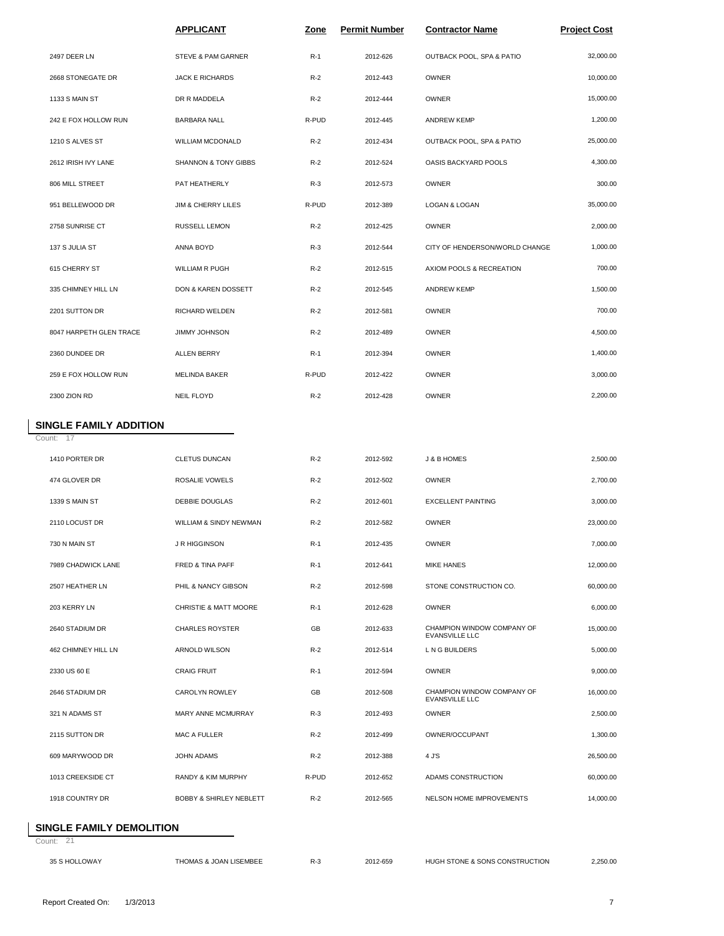|                         | <b>APPLICANT</b>                | Zone  | <b>Permit Number</b> | <b>Contractor Name</b>         | <b>Project Cost</b> |
|-------------------------|---------------------------------|-------|----------------------|--------------------------------|---------------------|
| 2497 DEER LN            | STEVE & PAM GARNER              | $R-1$ | 2012-626             | OUTBACK POOL, SPA & PATIO      | 32,000.00           |
| 2668 STONEGATE DR       | <b>JACK E RICHARDS</b>          | $R-2$ | 2012-443             | OWNER                          | 10,000.00           |
| 1133 S MAIN ST          | DR R MADDELA                    | $R-2$ | 2012-444             | <b>OWNER</b>                   | 15,000.00           |
| 242 E FOX HOLLOW RUN    | BARBARA NALL                    | R-PUD | 2012-445             | <b>ANDREW KEMP</b>             | 1,200.00            |
| 1210 S ALVES ST         | <b>WILLIAM MCDONALD</b>         | $R-2$ | 2012-434             | OUTBACK POOL, SPA & PATIO      | 25,000.00           |
| 2612 IRISH IVY LANE     | <b>SHANNON &amp; TONY GIBBS</b> | $R-2$ | 2012-524             | OASIS BACKYARD POOLS           | 4,300.00            |
| 806 MILL STREET         | PAT HEATHERLY                   | $R-3$ | 2012-573             | OWNER                          | 300.00              |
| 951 BELLEWOOD DR        | <b>JIM &amp; CHERRY LILES</b>   | R-PUD | 2012-389             | LOGAN & LOGAN                  | 35,000.00           |
| 2758 SUNRISE CT         | RUSSELL LEMON                   | $R-2$ | 2012-425             | <b>OWNER</b>                   | 2,000.00            |
| 137 S JULIA ST          | ANNA BOYD                       | $R-3$ | 2012-544             | CITY OF HENDERSON/WORLD CHANGE | 1,000.00            |
| 615 CHERRY ST           | <b>WILLIAM R PUGH</b>           | $R-2$ | 2012-515             | AXIOM POOLS & RECREATION       | 700.00              |
| 335 CHIMNEY HILL LN     | DON & KAREN DOSSETT             | $R-2$ | 2012-545             | <b>ANDREW KEMP</b>             | 1,500.00            |
| 2201 SUTTON DR          | RICHARD WELDEN                  | $R-2$ | 2012-581             | <b>OWNER</b>                   | 700.00              |
| 8047 HARPETH GLEN TRACE | JIMMY JOHNSON                   | $R-2$ | 2012-489             | <b>OWNER</b>                   | 4,500.00            |
| 2360 DUNDEE DR          | <b>ALLEN BERRY</b>              | $R-1$ | 2012-394             | OWNER                          | 1,400.00            |
| 259 E FOX HOLLOW RUN    | <b>MELINDA BAKER</b>            | R-PUD | 2012-422             | <b>OWNER</b>                   | 3,000.00            |
| 2300 ZION RD            | NEIL FLOYD                      | $R-2$ | 2012-428             | <b>OWNER</b>                   | 2,200.00            |
|                         |                                 |       |                      |                                |                     |

## **SINGLE FAMILY ADDITION**

Count: 17

| 1410 PORTER DR      | <b>CLETUS DUNCAN</b>               | $R-2$ | 2012-592 | J & B HOMES                                         | 2.500.00  |
|---------------------|------------------------------------|-------|----------|-----------------------------------------------------|-----------|
| 474 GLOVER DR       | ROSALIE VOWELS                     | $R-2$ | 2012-502 | OWNER                                               | 2,700.00  |
| 1339 S MAIN ST      | DEBBIE DOUGLAS                     | $R-2$ | 2012-601 | <b>EXCELLENT PAINTING</b>                           | 3,000.00  |
| 2110 LOCUST DR      | <b>WILLIAM &amp; SINDY NEWMAN</b>  | $R-2$ | 2012-582 | OWNER                                               | 23,000.00 |
| 730 N MAIN ST       | <b>J R HIGGINSON</b>               | $R-1$ | 2012-435 | <b>OWNER</b>                                        | 7,000.00  |
| 7989 CHADWICK LANE  | FRED & TINA PAFF                   | $R-1$ | 2012-641 | <b>MIKE HANES</b>                                   | 12,000.00 |
| 2507 HEATHER LN     | PHIL & NANCY GIBSON                | $R-2$ | 2012-598 | STONE CONSTRUCTION CO.                              | 60,000.00 |
| 203 KERRY LN        | CHRISTIE & MATT MOORE              | $R-1$ | 2012-628 | OWNER                                               | 6,000.00  |
| 2640 STADIUM DR     | <b>CHARLES ROYSTER</b>             | GB    | 2012-633 | CHAMPION WINDOW COMPANY OF<br><b>EVANSVILLE LLC</b> | 15,000.00 |
| 462 CHIMNEY HILL LN | <b>ARNOLD WILSON</b>               | $R-2$ | 2012-514 | L N G BUILDERS                                      | 5,000.00  |
| 2330 US 60 E        | <b>CRAIG FRUIT</b>                 | $R-1$ | 2012-594 | OWNER                                               | 9,000.00  |
| 2646 STADIUM DR     | CAROLYN ROWLEY                     | GB    | 2012-508 | CHAMPION WINDOW COMPANY OF<br><b>EVANSVILLE LLC</b> | 16,000.00 |
| 321 N ADAMS ST      | <b>MARY ANNE MCMURRAY</b>          | $R-3$ | 2012-493 | <b>OWNER</b>                                        | 2,500.00  |
| 2115 SUTTON DR      | MAC A FULLER                       | $R-2$ | 2012-499 | OWNER/OCCUPANT                                      | 1,300.00  |
| 609 MARYWOOD DR     | JOHN ADAMS                         | $R-2$ | 2012-388 | 4 J'S                                               | 26,500.00 |
| 1013 CREEKSIDE CT   | <b>RANDY &amp; KIM MURPHY</b>      | R-PUD | 2012-652 | ADAMS CONSTRUCTION                                  | 60,000.00 |
| 1918 COUNTRY DR     | <b>BOBBY &amp; SHIRLEY NEBLETT</b> | $R-2$ | 2012-565 | NELSON HOME IMPROVEMENTS                            | 14,000.00 |
|                     |                                    |       |          |                                                     |           |

### **SINGLE FAMILY DEMOLITION**

Count: 21

35 S HOLLOWAY THOMAS & JOAN LISEMBEE R-3 2012-659 HUGH STONE & SONS CONSTRUCTION 2,250.00 0.00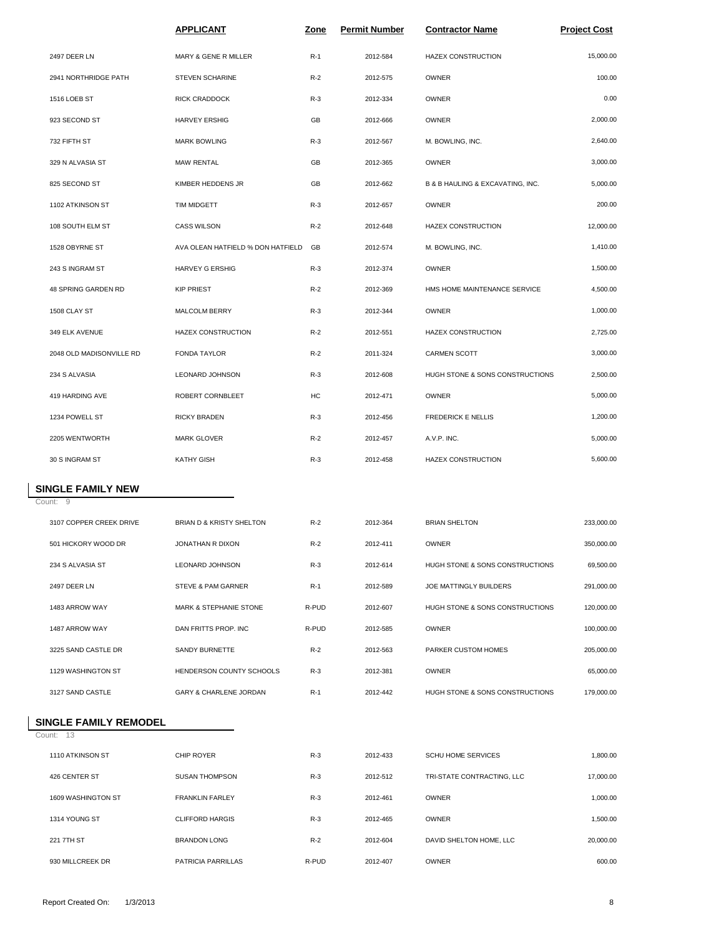|                                      | <b>APPLICANT</b>                  | <u>Zone</u> | <b>Permit Number</b> | <b>Contractor Name</b>           | <b>Project Cost</b> |
|--------------------------------------|-----------------------------------|-------------|----------------------|----------------------------------|---------------------|
| 2497 DEER LN                         | MARY & GENE R MILLER              | $R-1$       | 2012-584             | HAZEX CONSTRUCTION               | 15,000.00           |
| 2941 NORTHRIDGE PATH                 | STEVEN SCHARINE                   | $R-2$       | 2012-575             | OWNER                            | 100.00              |
| 1516 LOEB ST                         | RICK CRADDOCK                     | $R-3$       | 2012-334             | OWNER                            | 0.00                |
| 923 SECOND ST                        | <b>HARVEY ERSHIG</b>              | GB          | 2012-666             | OWNER                            | 2,000.00            |
| 732 FIFTH ST                         | <b>MARK BOWLING</b>               | $R-3$       | 2012-567             | M. BOWLING, INC.                 | 2,640.00            |
| 329 N ALVASIA ST                     | <b>MAW RENTAL</b>                 | GB          | 2012-365             | OWNER                            | 3,000.00            |
| 825 SECOND ST                        | KIMBER HEDDENS JR                 | GB          | 2012-662             | B & B HAULING & EXCAVATING, INC. | 5,000.00            |
| 1102 ATKINSON ST                     | <b>TIM MIDGETT</b>                | $R-3$       | 2012-657             | OWNER                            | 200.00              |
| 108 SOUTH ELM ST                     | <b>CASS WILSON</b>                | $R-2$       | 2012-648             | HAZEX CONSTRUCTION               | 12,000.00           |
| 1528 OBYRNE ST                       | AVA OLEAN HATFIELD % DON HATFIELD | GB          | 2012-574             | M. BOWLING, INC.                 | 1,410.00            |
| 243 S INGRAM ST                      | <b>HARVEY G ERSHIG</b>            | $R-3$       | 2012-374             | OWNER                            | 1,500.00            |
| 48 SPRING GARDEN RD                  | <b>KIP PRIEST</b>                 | $R-2$       | 2012-369             | HMS HOME MAINTENANCE SERVICE     | 4,500.00            |
| 1508 CLAY ST                         | MALCOLM BERRY                     | $R-3$       | 2012-344             | OWNER                            | 1,000.00            |
| 349 ELK AVENUE                       | HAZEX CONSTRUCTION                | $R-2$       | 2012-551             | HAZEX CONSTRUCTION               | 2,725.00            |
| 2048 OLD MADISONVILLE RD             | FONDA TAYLOR                      | $R-2$       | 2011-324             | <b>CARMEN SCOTT</b>              | 3,000.00            |
| 234 S ALVASIA                        | LEONARD JOHNSON                   | $R-3$       | 2012-608             | HUGH STONE & SONS CONSTRUCTIONS  | 2,500.00            |
| 419 HARDING AVE                      | ROBERT CORNBLEET                  | HC          | 2012-471             | OWNER                            | 5,000.00            |
| 1234 POWELL ST                       | <b>RICKY BRADEN</b>               | $R-3$       | 2012-456             | <b>FREDERICK E NELLIS</b>        | 1,200.00            |
| 2205 WENTWORTH                       | MARK GLOVER                       | $R-2$       | 2012-457             | A.V.P. INC.                      | 5,000.00            |
| 30 S INGRAM ST                       | <b>KATHY GISH</b>                 | $R-3$       | 2012-458             | HAZEX CONSTRUCTION               | 5,600.00            |
| <b>SINGLE FAMILY NEW</b><br>Count: 9 |                                   |             |                      |                                  |                     |
| 3107 COPPER CREEK DRIVE              | BRIAN D & KRISTY SHELTON          | $R-2$       | 2012-364             | <b>BRIAN SHELTON</b>             | 233,000.00          |
| 501 HICKORY WOOD DR                  | JONATHAN R DIXON                  | $R-2$       | 2012-411             | <b>OWNER</b>                     | 350,000.00          |
| 234 S ALVASIA ST                     | LEONARD JOHNSON                   | $R-3$       | 2012-614             | HUGH STONE & SONS CONSTRUCTIONS  | 69,500.00           |
| 2497 DEER LN                         | STEVE & PAM GARNER                | $R-1$       | 2012-589             | JOE MATTINGLY BUILDERS           | 291,000.00          |
| 1483 ARROW WAY                       | MARK & STEPHANIE STONE            | R-PUD       | 2012-607             | HUGH STONE & SONS CONSTRUCTIONS  | 120,000.00          |
| 1487 ARROW WAY                       | DAN FRITTS PROP. INC              | R-PUD       | 2012-585             | OWNER                            | 100,000.00          |
| 3225 SAND CASTLE DR                  | SANDY BURNETTE                    | $R-2$       | 2012-563             | PARKER CUSTOM HOMES              | 205,000.00          |
| 1129 WASHINGTON ST                   | HENDERSON COUNTY SCHOOLS          | $R-3$       | 2012-381             | OWNER                            | 65,000.00           |
| 3127 SAND CASTLE                     | GARY & CHARLENE JORDAN            | $R-1$       | 2012-442             | HUGH STONE & SONS CONSTRUCTIONS  | 179,000.00          |
| <b>SINGLE FAMILY REMODEL</b>         |                                   |             |                      |                                  |                     |
| Count: 13                            |                                   |             |                      |                                  |                     |
| 4440 ATICULOON OT                    | $Q$ UD DOVED                      |             | 0.010<br>$\sqrt{2}$  | COULLIONE CEDUCES                | 1.0000              |

| 1110 ATKINSON ST   | <b>CHIP ROYER</b>      | $R-3$ | 2012-433 | <b>SCHU HOME SERVICES</b>  | 1,800.00  |
|--------------------|------------------------|-------|----------|----------------------------|-----------|
| 426 CENTER ST      | <b>SUSAN THOMPSON</b>  | $R-3$ | 2012-512 | TRI-STATE CONTRACTING, LLC | 17,000.00 |
| 1609 WASHINGTON ST | <b>FRANKLIN FARLEY</b> | $R-3$ | 2012-461 | OWNER                      | 1,000.00  |
| 1314 YOUNG ST      | <b>CLIFFORD HARGIS</b> | $R-3$ | 2012-465 | OWNER                      | 1,500.00  |
| 221 7TH ST         | <b>BRANDON LONG</b>    | $R-2$ | 2012-604 | DAVID SHELTON HOME, LLC    | 20,000.00 |
| 930 MILLCREEK DR   | PATRICIA PARRILLAS     | R-PUD | 2012-407 | OWNER                      | 600.00    |